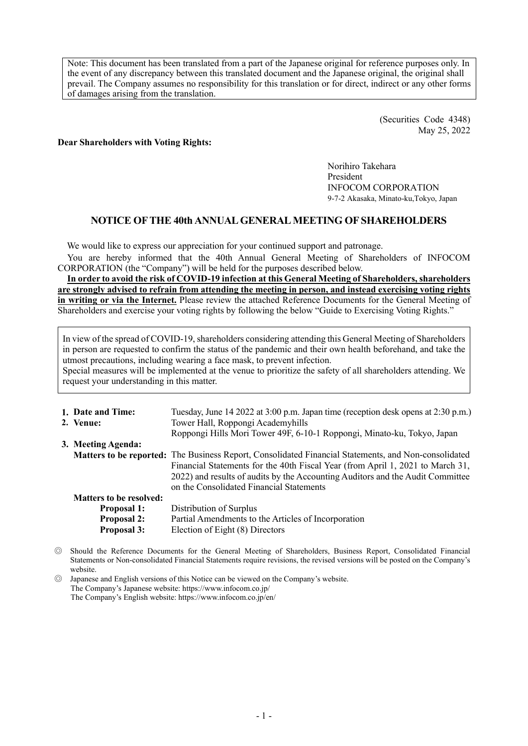Note: This document has been translated from a part of the Japanese original for reference purposes only. In the event of any discrepancy between this translated document and the Japanese original, the original shall prevail. The Company assumes no responsibility for this translation or for direct, indirect or any other forms of damages arising from the translation.

> (Securities Code 4348) May 25, 2022

#### **Dear Shareholders with Voting Rights:**

Norihiro Takehara President INFOCOM CORPORATION 9-7-2 Akasaka, Minato-ku,Tokyo, Japan

# **NOTICE OF THE 40th ANNUAL GENERAL MEETING OF SHAREHOLDERS**

We would like to express our appreciation for your continued support and patronage.

You are hereby informed that the 40th Annual General Meeting of Shareholders of INFOCOM CORPORATION (the "Company") will be held for the purposes described below.

**In order to avoid the risk of COVID-19 infection at this General Meeting of Shareholders, shareholders are strongly advised to refrain from attending the meeting in person, and instead exercising voting rights in writing or via the Internet.** Please review the attached Reference Documents for the General Meeting of Shareholders and exercise your voting rights by following the below "Guide to Exercising Voting Rights."

In view of the spread of COVID-19, shareholders considering attending this General Meeting of Shareholders in person are requested to confirm the status of the pandemic and their own health beforehand, and take the utmost precautions, including wearing a face mask, to prevent infection. Special measures will be implemented at the venue to prioritize the safety of all shareholders attending. We request your understanding in this matter.

| 1. Date and Time:              | Tuesday, June 14 2022 at 3:00 p.m. Japan time (reception desk opens at 2:30 p.m.)                           |
|--------------------------------|-------------------------------------------------------------------------------------------------------------|
| 2. Venue:                      | Tower Hall, Roppongi Academyhills                                                                           |
|                                | Roppongi Hills Mori Tower 49F, 6-10-1 Roppongi, Minato-ku, Tokyo, Japan                                     |
| 3. Meeting Agenda:             |                                                                                                             |
|                                | <b>Matters to be reported:</b> The Business Report, Consolidated Financial Statements, and Non-consolidated |
|                                | Financial Statements for the 40th Fiscal Year (from April 1, 2021 to March 31,                              |
|                                | 2022) and results of audits by the Accounting Auditors and the Audit Committee                              |
|                                | on the Consolidated Financial Statements                                                                    |
| <b>Matters to be resolved:</b> |                                                                                                             |
| <b>Proposal 1:</b>             | Distribution of Surplus                                                                                     |
| <b>Proposal 2:</b>             | Partial Amendments to the Articles of Incorporation                                                         |
| <b>Proposal 3:</b>             | Election of Eight (8) Directors                                                                             |

- ◎ Should the Reference Documents for the General Meeting of Shareholders, Business Report, Consolidated Financial Statements or Non-consolidated Financial Statements require revisions, the revised versions will be posted on the Company's website.
- ◎ Japanese and English versions of this Notice can be viewed on the Company's website. The Company's Japanese website[: https://www.infocom.co.jp/](https://www.infocom.co.jp/) The Company's English website[: https://www.infocom.co.jp/en/](https://www.infocom.co.jp/en/)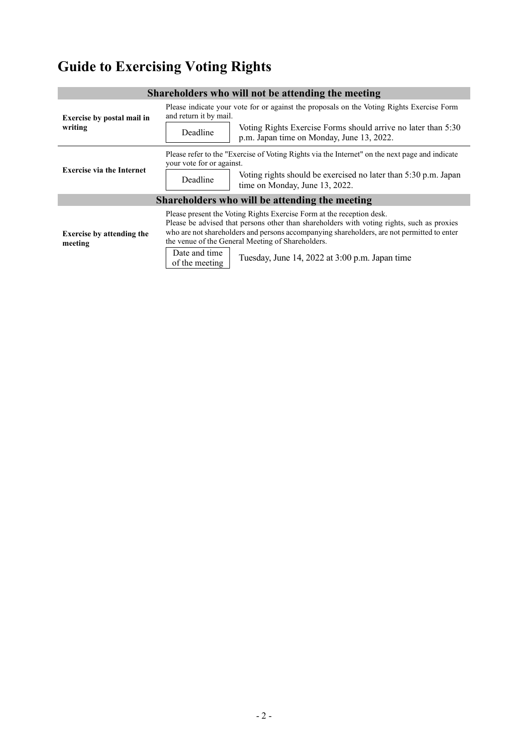# **Guide to Exercising Voting Rights**

| Shareholders who will not be attending the meeting |                                                                                                                                                                                                                                                                                                                                                                                                             |  |  |  |
|----------------------------------------------------|-------------------------------------------------------------------------------------------------------------------------------------------------------------------------------------------------------------------------------------------------------------------------------------------------------------------------------------------------------------------------------------------------------------|--|--|--|
| <b>Exercise by postal mail in</b><br>writing       | Please indicate your vote for or against the proposals on the Voting Rights Exercise Form<br>and return it by mail.<br>Voting Rights Exercise Forms should arrive no later than 5:30<br>Deadline<br>p.m. Japan time on Monday, June 13, 2022.                                                                                                                                                               |  |  |  |
| <b>Exercise via the Internet</b>                   | Please refer to the "Exercise of Voting Rights via the Internet" on the next page and indicate<br>your vote for or against.<br>Voting rights should be exercised no later than 5:30 p.m. Japan<br>Deadline<br>time on Monday, June 13, 2022.                                                                                                                                                                |  |  |  |
| Shareholders who will be attending the meeting     |                                                                                                                                                                                                                                                                                                                                                                                                             |  |  |  |
| <b>Exercise by attending the</b><br>meeting        | Please present the Voting Rights Exercise Form at the reception desk.<br>Please be advised that persons other than shareholders with voting rights, such as proxies<br>who are not shareholders and persons accompanying shareholders, are not permitted to enter<br>the venue of the General Meeting of Shareholders.<br>Date and time<br>Tuesday, June 14, 2022 at 3:00 p.m. Japan time<br>of the meeting |  |  |  |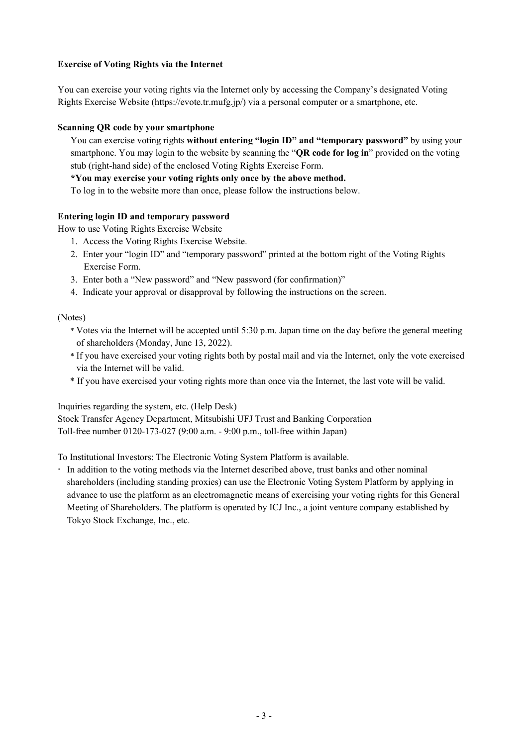# **Exercise of Voting Rights via the Internet**

You can exercise your voting rights via the Internet only by accessing the Company's designated Voting Rights Exercise Website (https://evote.tr.mufg.jp/) via a personal computer or a smartphone, etc.

### **Scanning QR code by your smartphone**

You can exercise voting rights **without entering "login ID" and "temporary password"** by using your smartphone. You may login to the website by scanning the "**QR code for log in**" provided on the voting stub (right-hand side) of the enclosed Voting Rights Exercise Form.

**\*You may exercise your voting rights only once by the above method.** 

To log in to the website more than once, please follow the instructions below.

## **Entering login ID and temporary password**

How to use Voting Rights Exercise Website

- 1. Access the Voting Rights Exercise Website.
- 2. Enter your "login ID" and "temporary password" printed at the bottom right of the Voting Rights Exercise Form.
- 3. Enter both a "New password" and "New password (for confirmation)"
- 4. Indicate your approval or disapproval by following the instructions on the screen.

(Notes)

- \* Votes via the Internet will be accepted until 5:30 p.m. Japan time on the day before the general meeting of shareholders (Monday, June 13, 2022).
- \* If you have exercised your voting rights both by postal mail and via the Internet, only the vote exercised via the Internet will be valid.
- \* If you have exercised your voting rights more than once via the Internet, the last vote will be valid.

Inquiries regarding the system, etc. (Help Desk) Stock Transfer Agency Department, Mitsubishi UFJ Trust and Banking Corporation Toll-free number 0120-173-027 (9:00 a.m. - 9:00 p.m., toll-free within Japan)

To Institutional Investors: The Electronic Voting System Platform is available.

 In addition to the voting methods via the Internet described above, trust banks and other nominal shareholders (including standing proxies) can use the Electronic Voting System Platform by applying in advance to use the platform as an electromagnetic means of exercising your voting rights for this General Meeting of Shareholders. The platform is operated by ICJ Inc., a joint venture company established by Tokyo Stock Exchange, Inc., etc.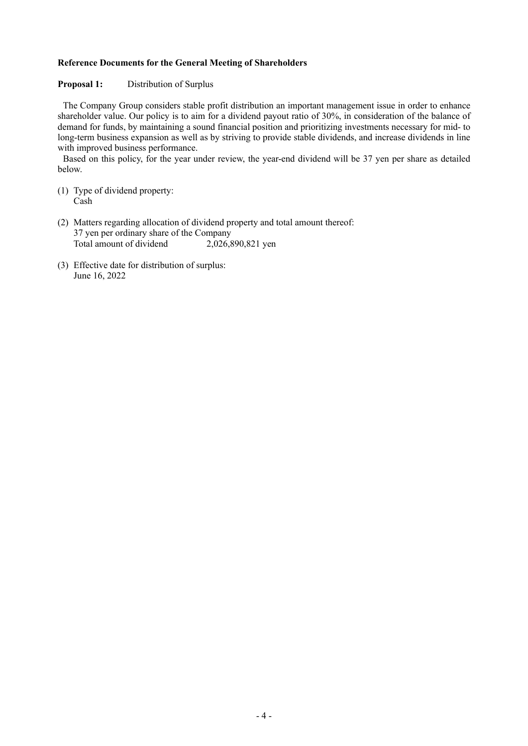#### **Reference Documents for the General Meeting of Shareholders**

#### **Proposal 1:** Distribution of Surplus

The Company Group considers stable profit distribution an important management issue in order to enhance shareholder value. Our policy is to aim for a dividend payout ratio of 30%, in consideration of the balance of demand for funds, by maintaining a sound financial position and prioritizing investments necessary for mid- to long-term business expansion as well as by striving to provide stable dividends, and increase dividends in line with improved business performance.

Based on this policy, for the year under review, the year-end dividend will be 37 yen per share as detailed below.

- (1) Type of dividend property: Cash
- (2) Matters regarding allocation of dividend property and total amount thereof: 37 yen per ordinary share of the Company Total amount of dividend 2,026,890,821 yen
- (3) Effective date for distribution of surplus: June 16, 2022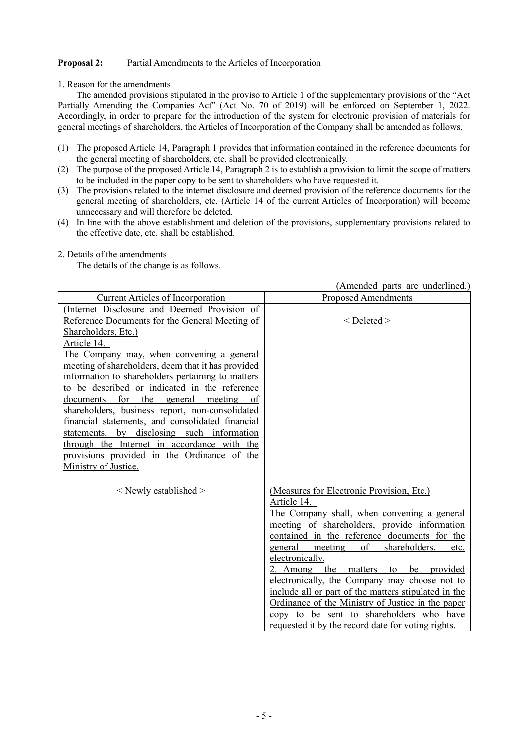#### **Proposal 2:** Partial Amendments to the Articles of Incorporation

1. Reason for the amendments

The amended provisions stipulated in the proviso to Article 1 of the supplementary provisions of the "Act Partially Amending the Companies Act" (Act No. 70 of 2019) will be enforced on September 1, 2022. Accordingly, in order to prepare for the introduction of the system for electronic provision of materials for general meetings of shareholders, the Articles of Incorporation of the Company shall be amended as follows.

- (1) The proposed Article 14, Paragraph 1 provides that information contained in the reference documents for the general meeting of shareholders, etc. shall be provided electronically.
- (2) The purpose of the proposed Article 14, Paragraph 2 is to establish a provision to limit the scope of matters to be included in the paper copy to be sent to shareholders who have requested it.
- (3) The provisions related to the internet disclosure and deemed provision of the reference documents for the general meeting of shareholders, etc. (Article 14 of the current Articles of Incorporation) will become unnecessary and will therefore be deleted.
- (4) In line with the above establishment and deletion of the provisions, supplementary provisions related to the effective date, etc. shall be established.

|                                                     | (Amended parts are underlined.)                      |
|-----------------------------------------------------|------------------------------------------------------|
| <b>Current Articles of Incorporation</b>            | <b>Proposed Amendments</b>                           |
| (Internet Disclosure and Deemed Provision of        |                                                      |
| Reference Documents for the General Meeting of      | $<$ Deleted $>$                                      |
| Shareholders, Etc.)                                 |                                                      |
| Article 14.                                         |                                                      |
| The Company may, when convening a general           |                                                      |
| meeting of shareholders, deem that it has provided  |                                                      |
| information to shareholders pertaining to matters   |                                                      |
| to be described or indicated in the reference       |                                                      |
| for<br>the<br>documents<br>general<br>meeting<br>of |                                                      |
| shareholders, business report, non-consolidated     |                                                      |
| financial statements, and consolidated financial    |                                                      |
| statements, by disclosing such information          |                                                      |
| through the Internet in accordance with the         |                                                      |
| provisions provided in the Ordinance of the         |                                                      |
| Ministry of Justice.                                |                                                      |
|                                                     |                                                      |
| $\le$ Newly established $>$                         | (Measures for Electronic Provision, Etc.)            |
|                                                     | Article 14.                                          |
|                                                     | The Company shall, when convening a general          |
|                                                     | meeting of shareholders, provide information         |
|                                                     | contained in the reference documents for the         |
|                                                     | of<br>shareholders,<br>general<br>meeting<br>etc.    |
|                                                     | electronically.                                      |
|                                                     | the<br>be<br>2. Among<br>matters<br>to<br>provided   |
|                                                     | electronically, the Company may choose not to        |
|                                                     | include all or part of the matters stipulated in the |
|                                                     | Ordinance of the Ministry of Justice in the paper    |
|                                                     | copy to be sent to shareholders who have             |
|                                                     | requested it by the record date for voting rights.   |
|                                                     |                                                      |

2. Details of the amendments

The details of the change is as follows.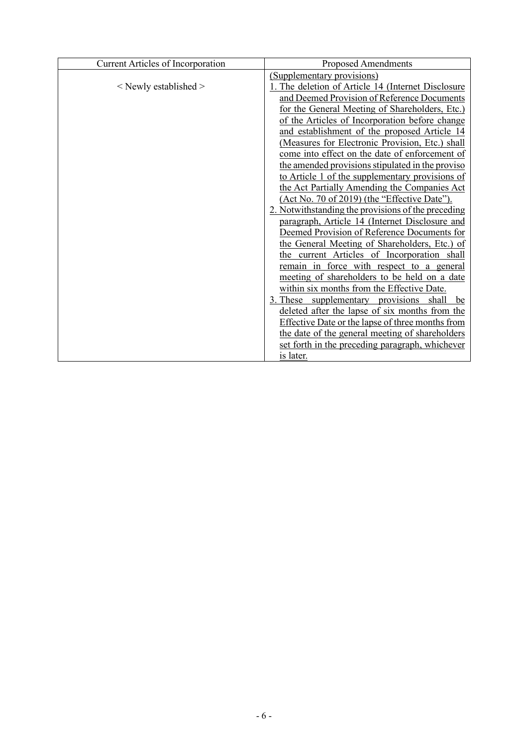| Current Articles of Incorporation | <b>Proposed Amendments</b>                              |  |  |
|-----------------------------------|---------------------------------------------------------|--|--|
|                                   | (Supplementary provisions)                              |  |  |
| $\le$ Newly established $>$       | . The deletion of Article 14 (Internet Disclosure)      |  |  |
|                                   | and Deemed Provision of Reference Documents             |  |  |
|                                   | for the General Meeting of Shareholders, Etc.)          |  |  |
|                                   | of the Articles of Incorporation before change          |  |  |
|                                   | and establishment of the proposed Article 14            |  |  |
|                                   | (Measures for Electronic Provision, Etc.) shall         |  |  |
|                                   | come into effect on the date of enforcement of          |  |  |
|                                   | the amended provisions stipulated in the proviso        |  |  |
|                                   | to Article 1 of the supplementary provisions of         |  |  |
|                                   | the Act Partially Amending the Companies Act            |  |  |
|                                   | (Act No. 70 of 2019) (the "Effective Date").            |  |  |
|                                   | 2. Notwithstanding the provisions of the preceding      |  |  |
|                                   | paragraph, Article 14 (Internet Disclosure and          |  |  |
|                                   | Deemed Provision of Reference Documents for             |  |  |
|                                   | the General Meeting of Shareholders, Etc.) of           |  |  |
|                                   | the current Articles of Incorporation shall             |  |  |
|                                   | remain in force with respect to a general               |  |  |
|                                   | meeting of shareholders to be held on a date            |  |  |
|                                   | within six months from the Effective Date.              |  |  |
|                                   | 3. These supplementary provisions shall<br>be           |  |  |
|                                   | deleted after the lapse of six months from the          |  |  |
|                                   | <b>Effective Date or the lapse of three months from</b> |  |  |
|                                   | the date of the general meeting of shareholders         |  |  |
|                                   | set forth in the preceding paragraph, whichever         |  |  |
|                                   | <u>is later.</u>                                        |  |  |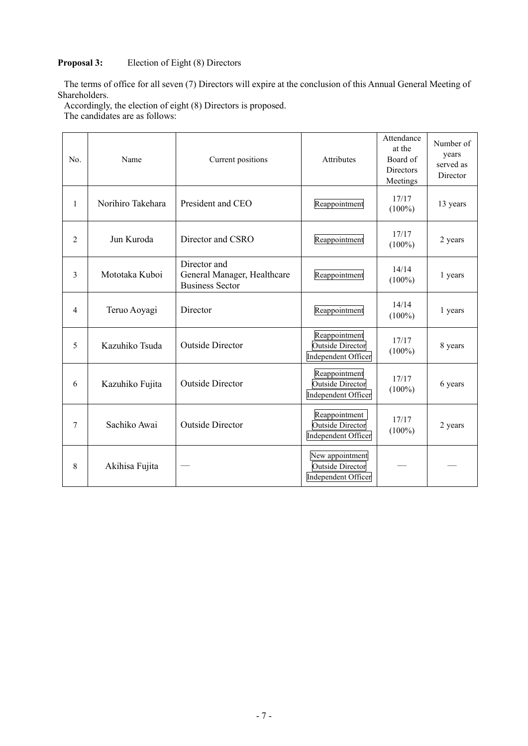# **Proposal 3:** Election of Eight (8) Directors

The terms of office for all seven (7) Directors will expire at the conclusion of this Annual General Meeting of Shareholders.

Accordingly, the election of eight (8) Directors is proposed.

The candidates are as follows:

| No. | Name                                       | Current positions                                                     |                                                                   | Attendance<br>at the<br>Board of<br>Directors<br>Meetings | Number of<br>years<br>served as<br>Director |
|-----|--------------------------------------------|-----------------------------------------------------------------------|-------------------------------------------------------------------|-----------------------------------------------------------|---------------------------------------------|
| 1   | Norihiro Takehara                          | President and CEO                                                     | Reappointment                                                     | 17/17<br>$(100\%)$                                        | 13 years                                    |
| 2   | Jun Kuroda                                 | Director and CSRO                                                     | Reappointment                                                     | 17/17<br>$(100\%)$                                        | 2 years                                     |
| 3   | Mototaka Kuboi                             | Director and<br>General Manager, Healthcare<br><b>Business Sector</b> |                                                                   | 14/14<br>$(100\%)$                                        | 1 years                                     |
| 4   | Teruo Aoyagi                               | Director                                                              | Reappointment                                                     | 14/14<br>$(100\%)$                                        | 1 years                                     |
| 5   | Kazuhiko Tsuda                             | <b>Outside Director</b>                                               | Reappointment<br><b>Outside Director</b><br>Independent Officer   | 17/17<br>$(100\%)$                                        | 8 years                                     |
| 6   | <b>Outside Director</b><br>Kazuhiko Fujita |                                                                       | Reappointment<br><b>Outside Director</b><br>Independent Officer   | 17/17<br>$(100\%)$                                        | 6 years                                     |
| 7   | Sachiko Awai                               | <b>Outside Director</b>                                               |                                                                   | 17/17<br>$(100\%)$                                        | 2 years                                     |
| 8   | Akihisa Fujita                             |                                                                       | New appointment<br><b>Outside Director</b><br>Independent Officer |                                                           |                                             |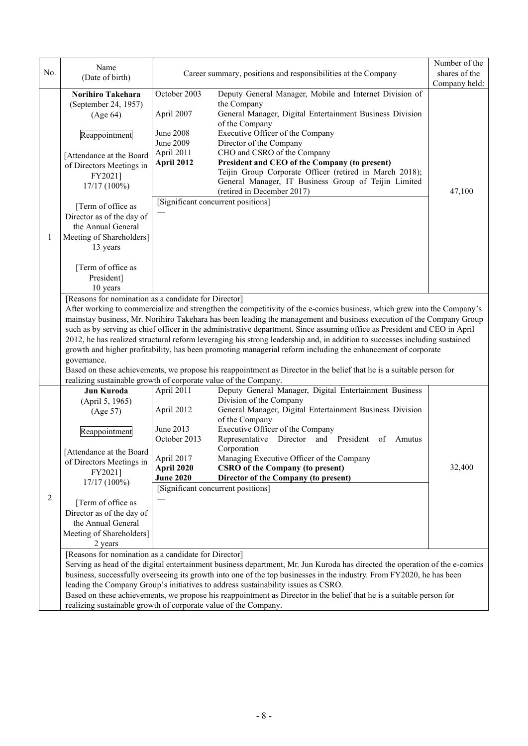|     | Name                                                                                                                                                                                                                                                                                                                                                                                                                                                                                                                                                                                                                                                                                                                                                                                                                                                                                                     |                                                                                                       |                                                                                                                                                                                                                                                                                                                                                                                                                                                                                                                                                                                                                                                                                                                                                                                             | Number of the           |  |
|-----|----------------------------------------------------------------------------------------------------------------------------------------------------------------------------------------------------------------------------------------------------------------------------------------------------------------------------------------------------------------------------------------------------------------------------------------------------------------------------------------------------------------------------------------------------------------------------------------------------------------------------------------------------------------------------------------------------------------------------------------------------------------------------------------------------------------------------------------------------------------------------------------------------------|-------------------------------------------------------------------------------------------------------|---------------------------------------------------------------------------------------------------------------------------------------------------------------------------------------------------------------------------------------------------------------------------------------------------------------------------------------------------------------------------------------------------------------------------------------------------------------------------------------------------------------------------------------------------------------------------------------------------------------------------------------------------------------------------------------------------------------------------------------------------------------------------------------------|-------------------------|--|
| No. | (Date of birth)                                                                                                                                                                                                                                                                                                                                                                                                                                                                                                                                                                                                                                                                                                                                                                                                                                                                                          |                                                                                                       | Career summary, positions and responsibilities at the Company                                                                                                                                                                                                                                                                                                                                                                                                                                                                                                                                                                                                                                                                                                                               | shares of the           |  |
| 1   | Norihiro Takehara<br>(September 24, 1957)<br>(Age 64)<br>Reappointment<br>[Attendance at the Board<br>of Directors Meetings in<br>FY2021]<br>17/17 (100%)<br>[Term of office as<br>Director as of the day of<br>the Annual General<br>Meeting of Shareholders]<br>13 years<br>[Term of office as<br>President]                                                                                                                                                                                                                                                                                                                                                                                                                                                                                                                                                                                           | October 2003<br>April 2007<br>June 2008<br>June 2009<br>April 2011<br>April 2012                      | Deputy General Manager, Mobile and Internet Division of<br>the Company<br>General Manager, Digital Entertainment Business Division<br>of the Company<br>Executive Officer of the Company<br>Director of the Company<br>CHO and CSRO of the Company<br>President and CEO of the Company (to present)<br>Teijin Group Corporate Officer (retired in March 2018);<br>General Manager, IT Business Group of Teijin Limited<br>(retired in December 2017)<br>[Significant concurrent positions]                                                                                                                                                                                                                                                                                                  | Company held:<br>47,100 |  |
|     | 10 years<br>[Reasons for nomination as a candidate for Director]<br>After working to commercialize and strengthen the competitivity of the e-comics business, which grew into the Company's<br>mainstay business, Mr. Norihiro Takehara has been leading the management and business execution of the Company Group<br>such as by serving as chief officer in the administrative department. Since assuming office as President and CEO in April<br>2012, he has realized structural reform leveraging his strong leadership and, in addition to successes including sustained<br>growth and higher profitability, has been promoting managerial reform including the enhancement of corporate<br>governance.<br>Based on these achievements, we propose his reappointment as Director in the belief that he is a suitable person for<br>realizing sustainable growth of corporate value of the Company. |                                                                                                       |                                                                                                                                                                                                                                                                                                                                                                                                                                                                                                                                                                                                                                                                                                                                                                                             |                         |  |
| 2   | Jun Kuroda<br>(April 5, 1965)<br>(Age 57)<br>Reappointment<br>[Attendance at the Board<br>of Directors Meetings in<br>FY2021]<br>17/17 (100%)<br>[Term of office as<br>Director as of the day of<br>the Annual General<br>Meeting of Shareholders]<br>2 years<br>[Reasons for nomination as a candidate for Director]                                                                                                                                                                                                                                                                                                                                                                                                                                                                                                                                                                                    | April 2011<br>April 2012<br>June 2013<br>October 2013<br>April 2017<br>April 2020<br><b>June 2020</b> | Deputy General Manager, Digital Entertainment Business<br>Division of the Company<br>General Manager, Digital Entertainment Business Division<br>of the Company<br>Executive Officer of the Company<br>Director and President of Amutus<br>Representative<br>Corporation<br>Managing Executive Officer of the Company<br><b>CSRO</b> of the Company (to present)<br>Director of the Company (to present)<br>[Significant concurrent positions]<br>Serving as head of the digital entertainment business department, Mr. Jun Kuroda has directed the operation of the e-comics<br>business, successfully overseeing its growth into one of the top businesses in the industry. From FY2020, he has been<br>leading the Company Group's initiatives to address sustainability issues as CSRO. | 32,400                  |  |
|     | Based on these achievements, we propose his reappointment as Director in the belief that he is a suitable person for<br>realizing sustainable growth of corporate value of the Company.                                                                                                                                                                                                                                                                                                                                                                                                                                                                                                                                                                                                                                                                                                                  |                                                                                                       |                                                                                                                                                                                                                                                                                                                                                                                                                                                                                                                                                                                                                                                                                                                                                                                             |                         |  |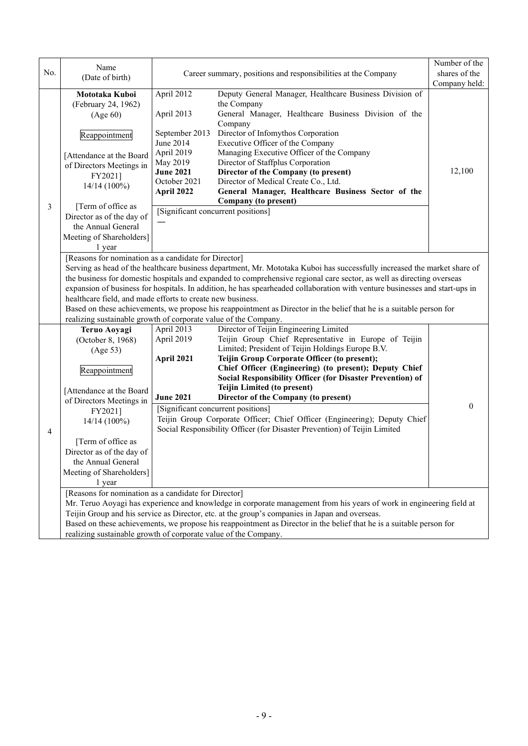| No. | Name<br>(Date of birth)                                                                                                                                                                                                                                                                                                                                                                                                                                                                                                                                                                                                                                                                           | Career summary, positions and responsibilities at the Company                                                                                                             |                                                                                                                                                                                                                                                                                                                                                                                                                                                                                                                                                                      | Number of the<br>shares of the<br>Company held: |  |
|-----|---------------------------------------------------------------------------------------------------------------------------------------------------------------------------------------------------------------------------------------------------------------------------------------------------------------------------------------------------------------------------------------------------------------------------------------------------------------------------------------------------------------------------------------------------------------------------------------------------------------------------------------------------------------------------------------------------|---------------------------------------------------------------------------------------------------------------------------------------------------------------------------|----------------------------------------------------------------------------------------------------------------------------------------------------------------------------------------------------------------------------------------------------------------------------------------------------------------------------------------------------------------------------------------------------------------------------------------------------------------------------------------------------------------------------------------------------------------------|-------------------------------------------------|--|
| 3   | Mototaka Kuboi<br>(February 24, 1962)<br>(Age 60)<br>Reappointment<br>[Attendance at the Board<br>of Directors Meetings in<br>FY2021]<br>$14/14(100\%)$<br>[Term of office as<br>Director as of the day of<br>the Annual General<br>Meeting of Shareholders]<br>1 year                                                                                                                                                                                                                                                                                                                                                                                                                            | April 2012<br>April 2013<br>September 2013<br>June 2014<br>April 2019<br>May 2019<br><b>June 2021</b><br>October 2021<br>April 2022<br>[Significant concurrent positions] | Deputy General Manager, Healthcare Business Division of<br>the Company<br>General Manager, Healthcare Business Division of the<br>Company<br>Director of Infomythos Corporation<br>Executive Officer of the Company<br>Managing Executive Officer of the Company<br>Director of Staffplus Corporation<br>Director of the Company (to present)<br>Director of Medical Create Co., Ltd.<br>General Manager, Healthcare Business Sector of the<br>Company (to present)                                                                                                  | 12,100                                          |  |
|     | [Reasons for nomination as a candidate for Director]<br>Serving as head of the healthcare business department, Mr. Mototaka Kuboi has successfully increased the market share of<br>the business for domestic hospitals and expanded to comprehensive regional care sector, as well as directing overseas<br>expansion of business for hospitals. In addition, he has spearheaded collaboration with venture businesses and start-ups in<br>healthcare field, and made efforts to create new business.<br>Based on these achievements, we propose his reappointment as Director in the belief that he is a suitable person for<br>realizing sustainable growth of corporate value of the Company. |                                                                                                                                                                           |                                                                                                                                                                                                                                                                                                                                                                                                                                                                                                                                                                      |                                                 |  |
| 4   | Teruo Aoyagi<br>(October 8, 1968)<br>(Age 53)<br>Reappointment<br>[Attendance at the Board<br>of Directors Meetings in<br>FY2021]<br>$14/14(100\%)$<br>[Term of office as<br>Director as of the day of<br>the Annual General<br>Meeting of Shareholders]<br>1 year                                                                                                                                                                                                                                                                                                                                                                                                                                | April 2013<br>April 2019<br>April 2021<br><b>June 2021</b><br>[Significant concurrent positions]                                                                          | Director of Teijin Engineering Limited<br>Teijin Group Chief Representative in Europe of Teijin<br>Limited; President of Teijin Holdings Europe B.V.<br>Teijin Group Corporate Officer (to present);<br>Chief Officer (Engineering) (to present); Deputy Chief<br>Social Responsibility Officer (for Disaster Prevention) of<br><b>Teijin Limited (to present)</b><br>Director of the Company (to present)<br>Teijin Group Corporate Officer; Chief Officer (Engineering); Deputy Chief<br>Social Responsibility Officer (for Disaster Prevention) of Teijin Limited | $\theta$                                        |  |
|     | [Reasons for nomination as a candidate for Director]<br>Mr. Teruo Aoyagi has experience and knowledge in corporate management from his years of work in engineering field at<br>Teijin Group and his service as Director, etc. at the group's companies in Japan and overseas.<br>Based on these achievements, we propose his reappointment as Director in the belief that he is a suitable person for<br>realizing sustainable growth of corporate value of the Company.                                                                                                                                                                                                                         |                                                                                                                                                                           |                                                                                                                                                                                                                                                                                                                                                                                                                                                                                                                                                                      |                                                 |  |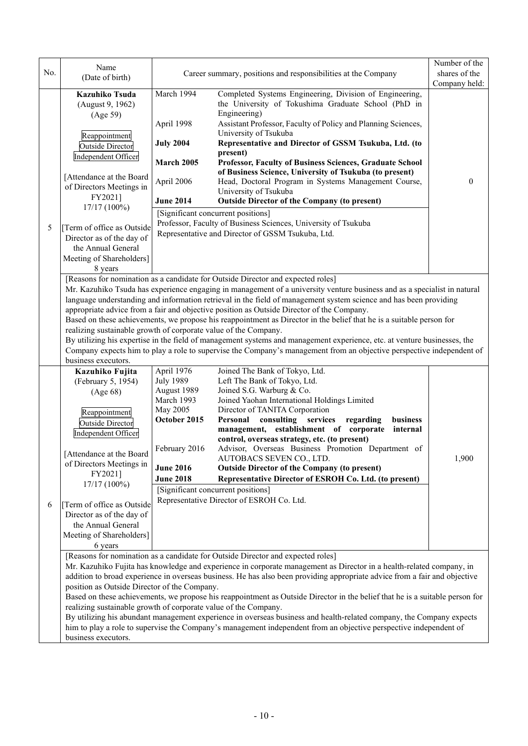|     | Name                                                                                                                                                                                                                                                                                                                                                                                                                                                                                                                                                                                                                                                                                                                                                                                                                                                                                     |                                                                                                                                                                       |                                                                                                                                                                                                                                                                                                                                                                                                                                                                                                                                                                                                                                                                                     | Number of the                  |
|-----|------------------------------------------------------------------------------------------------------------------------------------------------------------------------------------------------------------------------------------------------------------------------------------------------------------------------------------------------------------------------------------------------------------------------------------------------------------------------------------------------------------------------------------------------------------------------------------------------------------------------------------------------------------------------------------------------------------------------------------------------------------------------------------------------------------------------------------------------------------------------------------------|-----------------------------------------------------------------------------------------------------------------------------------------------------------------------|-------------------------------------------------------------------------------------------------------------------------------------------------------------------------------------------------------------------------------------------------------------------------------------------------------------------------------------------------------------------------------------------------------------------------------------------------------------------------------------------------------------------------------------------------------------------------------------------------------------------------------------------------------------------------------------|--------------------------------|
| No. | (Date of birth)                                                                                                                                                                                                                                                                                                                                                                                                                                                                                                                                                                                                                                                                                                                                                                                                                                                                          | Career summary, positions and responsibilities at the Company                                                                                                         |                                                                                                                                                                                                                                                                                                                                                                                                                                                                                                                                                                                                                                                                                     | shares of the<br>Company held: |
| 5   | Kazuhiko Tsuda<br>(August 9, 1962)<br>(Age 59)<br>Reappointment<br><b>Outside Director</b><br>Independent Officer<br>[Attendance at the Board<br>of Directors Meetings in<br>FY2021]<br>17/17 (100%)<br>[Term of office as Outside<br>Director as of the day of<br>the Annual General<br>Meeting of Shareholders]                                                                                                                                                                                                                                                                                                                                                                                                                                                                                                                                                                        | March 1994<br>April 1998<br><b>July 2004</b><br>March 2005<br>April 2006<br><b>June 2014</b><br>[Significant concurrent positions]                                    | Completed Systems Engineering, Division of Engineering,<br>the University of Tokushima Graduate School (PhD in<br>Engineering)<br>Assistant Professor, Faculty of Policy and Planning Sciences,<br>University of Tsukuba<br>Representative and Director of GSSM Tsukuba, Ltd. (to<br>present)<br>Professor, Faculty of Business Sciences, Graduate School<br>of Business Science, University of Tsukuba (to present)<br>Head, Doctoral Program in Systems Management Course,<br>University of Tsukuba<br><b>Outside Director of the Company (to present)</b><br>Professor, Faculty of Business Sciences, University of Tsukuba<br>Representative and Director of GSSM Tsukuba, Ltd. | 0                              |
|     | 8 years<br>[Reasons for nomination as a candidate for Outside Director and expected roles]<br>Mr. Kazuhiko Tsuda has experience engaging in management of a university venture business and as a specialist in natural<br>language understanding and information retrieval in the field of management system science and has been providing<br>appropriate advice from a fair and objective position as Outside Director of the Company.<br>Based on these achievements, we propose his reappointment as Director in the belief that he is a suitable person for<br>realizing sustainable growth of corporate value of the Company.<br>By utilizing his expertise in the field of management systems and management experience, etc. at venture businesses, the<br>Company expects him to play a role to supervise the Company's management from an objective perspective independent of |                                                                                                                                                                       |                                                                                                                                                                                                                                                                                                                                                                                                                                                                                                                                                                                                                                                                                     |                                |
| 6   | business executors.<br>Kazuhiko Fujita<br>(February 5, 1954)<br>(Age 68)<br>Reappointment<br>Outside Director<br>Independent Officer<br>[Attendance at the Board   February 2016<br>of Directors Meetings in<br>FY2021]<br>17/17 (100%)<br>[Term of office as Outside<br>Director as of the day of<br>the Annual General<br>Meeting of Shareholders]<br>6 years                                                                                                                                                                                                                                                                                                                                                                                                                                                                                                                          | April 1976<br><b>July 1989</b><br>August 1989<br>March 1993<br>May 2005<br>October 2015<br><b>June 2016</b><br><b>June 2018</b><br>[Significant concurrent positions] | Joined The Bank of Tokyo, Ltd.<br>Left The Bank of Tokyo, Ltd.<br>Joined S.G. Warburg & Co.<br>Joined Yaohan International Holdings Limited<br>Director of TANITA Corporation<br>consulting services<br>Personal<br>business<br>regarding<br>management, establishment of corporate<br>internal<br>control, overseas strategy, etc. (to present)<br>Advisor, Overseas Business Promotion Department of<br>AUTOBACS SEVEN CO., LTD.<br><b>Outside Director of the Company (to present)</b><br>Representative Director of ESROH Co. Ltd. (to present)<br>Representative Director of ESROH Co. Ltd.                                                                                    | 1,900                          |
|     | [Reasons for nomination as a candidate for Outside Director and expected roles]<br>Mr. Kazuhiko Fujita has knowledge and experience in corporate management as Director in a health-related company, in<br>addition to broad experience in overseas business. He has also been providing appropriate advice from a fair and objective<br>position as Outside Director of the Company.<br>Based on these achievements, we propose his reappointment as Outside Director in the belief that he is a suitable person for<br>realizing sustainable growth of corporate value of the Company.<br>By utilizing his abundant management experience in overseas business and health-related company, the Company expects<br>him to play a role to supervise the Company's management independent from an objective perspective independent of<br>business executors.                             |                                                                                                                                                                       |                                                                                                                                                                                                                                                                                                                                                                                                                                                                                                                                                                                                                                                                                     |                                |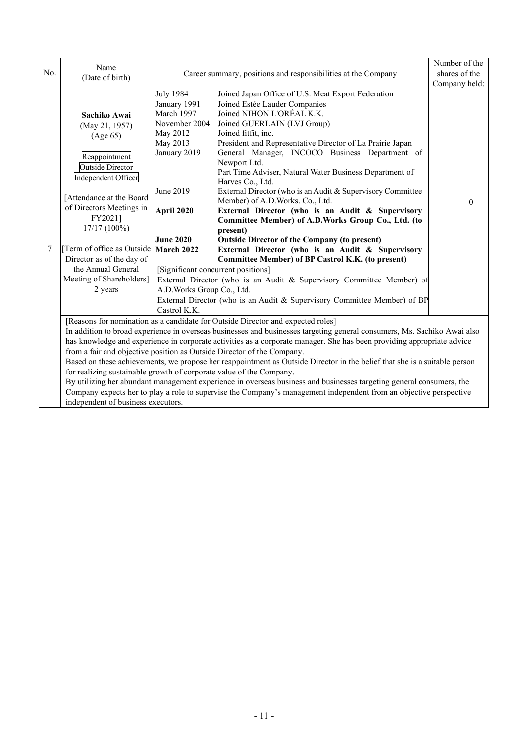|                                                                                                                                                                                                                                                    | Name                                                                                                                                                                                                                                                                                                                      |                                                                                                                                                                                                                                                                                                                                                                                                                                                                                                                                                                                                                                                                                                                                                                                                                                                                                                                                                                                                                                                                                                                                                                                                             |  | Number of the |  |
|----------------------------------------------------------------------------------------------------------------------------------------------------------------------------------------------------------------------------------------------------|---------------------------------------------------------------------------------------------------------------------------------------------------------------------------------------------------------------------------------------------------------------------------------------------------------------------------|-------------------------------------------------------------------------------------------------------------------------------------------------------------------------------------------------------------------------------------------------------------------------------------------------------------------------------------------------------------------------------------------------------------------------------------------------------------------------------------------------------------------------------------------------------------------------------------------------------------------------------------------------------------------------------------------------------------------------------------------------------------------------------------------------------------------------------------------------------------------------------------------------------------------------------------------------------------------------------------------------------------------------------------------------------------------------------------------------------------------------------------------------------------------------------------------------------------|--|---------------|--|
| No.                                                                                                                                                                                                                                                | (Date of birth)                                                                                                                                                                                                                                                                                                           | Career summary, positions and responsibilities at the Company                                                                                                                                                                                                                                                                                                                                                                                                                                                                                                                                                                                                                                                                                                                                                                                                                                                                                                                                                                                                                                                                                                                                               |  | shares of the |  |
|                                                                                                                                                                                                                                                    |                                                                                                                                                                                                                                                                                                                           |                                                                                                                                                                                                                                                                                                                                                                                                                                                                                                                                                                                                                                                                                                                                                                                                                                                                                                                                                                                                                                                                                                                                                                                                             |  | Company held: |  |
| 7                                                                                                                                                                                                                                                  | Sachiko Awai<br>(May 21, 1957)<br>(Age 65)<br>Reappointment<br><b>Outside Director</b><br>Independent Officer<br>[Attendance at the Board<br>of Directors Meetings in<br>FY2021]<br>17/17 (100%)<br>[Term of office as Outside]<br>Director as of the day of<br>the Annual General<br>Meeting of Shareholders]<br>2 years | <b>July 1984</b><br>Joined Japan Office of U.S. Meat Export Federation<br>Joined Estée Lauder Companies<br>January 1991<br>March 1997<br>Joined NIHON L'ORÉAL K.K.<br>November 2004<br>Joined GUERLAIN (LVJ Group)<br>May 2012<br>Joined fitfit, inc.<br>President and Representative Director of La Prairie Japan<br>May 2013<br>January 2019<br>General Manager, INCOCO Business Department of<br>Newport Ltd.<br>Part Time Adviser, Natural Water Business Department of<br>Harves Co., Ltd.<br>June 2019<br>External Director (who is an Audit & Supervisory Committee<br>Member) of A.D. Works. Co., Ltd.<br>External Director (who is an Audit & Supervisory<br>April 2020<br>Committee Member) of A.D.Works Group Co., Ltd. (to<br>present)<br><b>June 2020</b><br><b>Outside Director of the Company (to present)</b><br><b>March 2022</b><br>External Director (who is an Audit & Supervisory<br><b>Committee Member) of BP Castrol K.K. (to present)</b><br>[Significant concurrent positions]<br>External Director (who is an Audit & Supervisory Committee Member) of<br>A.D. Works Group Co., Ltd.<br>External Director (who is an Audit & Supervisory Committee Member) of BP<br>Castrol K.K. |  | $\Omega$      |  |
|                                                                                                                                                                                                                                                    | [Reasons for nomination as a candidate for Outside Director and expected roles]                                                                                                                                                                                                                                           |                                                                                                                                                                                                                                                                                                                                                                                                                                                                                                                                                                                                                                                                                                                                                                                                                                                                                                                                                                                                                                                                                                                                                                                                             |  |               |  |
| In addition to broad experience in overseas businesses and businesses targeting general consumers, Ms. Sachiko Awai also<br>has knowledge and experience in corporate activities as a corporate manager. She has been providing appropriate advice |                                                                                                                                                                                                                                                                                                                           |                                                                                                                                                                                                                                                                                                                                                                                                                                                                                                                                                                                                                                                                                                                                                                                                                                                                                                                                                                                                                                                                                                                                                                                                             |  |               |  |
|                                                                                                                                                                                                                                                    |                                                                                                                                                                                                                                                                                                                           | from a fair and objective position as Outside Director of the Company.                                                                                                                                                                                                                                                                                                                                                                                                                                                                                                                                                                                                                                                                                                                                                                                                                                                                                                                                                                                                                                                                                                                                      |  |               |  |
|                                                                                                                                                                                                                                                    |                                                                                                                                                                                                                                                                                                                           | Based on these achievements, we propose her reappointment as Outside Director in the belief that she is a suitable person                                                                                                                                                                                                                                                                                                                                                                                                                                                                                                                                                                                                                                                                                                                                                                                                                                                                                                                                                                                                                                                                                   |  |               |  |
|                                                                                                                                                                                                                                                    |                                                                                                                                                                                                                                                                                                                           | for realizing sustainable growth of corporate value of the Company.                                                                                                                                                                                                                                                                                                                                                                                                                                                                                                                                                                                                                                                                                                                                                                                                                                                                                                                                                                                                                                                                                                                                         |  |               |  |
| By utilizing her abundant management experience in overseas business and businesses targeting general consumers, the                                                                                                                               |                                                                                                                                                                                                                                                                                                                           |                                                                                                                                                                                                                                                                                                                                                                                                                                                                                                                                                                                                                                                                                                                                                                                                                                                                                                                                                                                                                                                                                                                                                                                                             |  |               |  |
|                                                                                                                                                                                                                                                    | Company expects her to play a role to supervise the Company's management independent from an objective perspective<br>independent of business executors.                                                                                                                                                                  |                                                                                                                                                                                                                                                                                                                                                                                                                                                                                                                                                                                                                                                                                                                                                                                                                                                                                                                                                                                                                                                                                                                                                                                                             |  |               |  |
|                                                                                                                                                                                                                                                    |                                                                                                                                                                                                                                                                                                                           |                                                                                                                                                                                                                                                                                                                                                                                                                                                                                                                                                                                                                                                                                                                                                                                                                                                                                                                                                                                                                                                                                                                                                                                                             |  |               |  |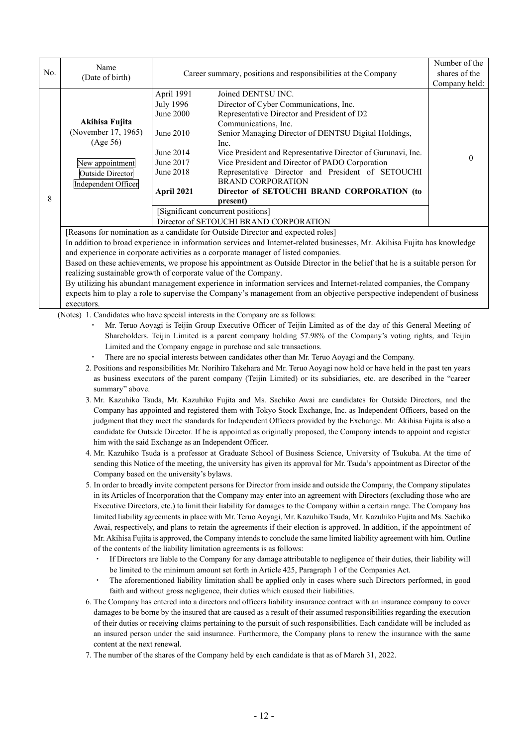| No. | Name<br>(Date of birth)                                                                                                                                                                                                                                                                                                                                                                                                                                                                                                                                                                                                                                                                                                                                            | Career summary, positions and responsibilities at the Company                                                 |                                                                                                                                                                                                                                                                                                                                                                                                                                                                                                                                                   | Number of the<br>shares of the<br>Company held: |
|-----|--------------------------------------------------------------------------------------------------------------------------------------------------------------------------------------------------------------------------------------------------------------------------------------------------------------------------------------------------------------------------------------------------------------------------------------------------------------------------------------------------------------------------------------------------------------------------------------------------------------------------------------------------------------------------------------------------------------------------------------------------------------------|---------------------------------------------------------------------------------------------------------------|---------------------------------------------------------------------------------------------------------------------------------------------------------------------------------------------------------------------------------------------------------------------------------------------------------------------------------------------------------------------------------------------------------------------------------------------------------------------------------------------------------------------------------------------------|-------------------------------------------------|
| 8   | Akihisa Fujita<br>(November 17, 1965)<br>(Age 56)<br>New appointment<br><b>Outside Director</b><br>Independent Officer                                                                                                                                                                                                                                                                                                                                                                                                                                                                                                                                                                                                                                             | April 1991<br><b>July 1996</b><br>June 2000<br>June 2010<br>June 2014<br>June 2017<br>June 2018<br>April 2021 | Joined DENTSU INC.<br>Director of Cyber Communications, Inc.<br>Representative Director and President of D2<br>Communications, Inc.<br>Senior Managing Director of DENTSU Digital Holdings,<br>Inc.<br>Vice President and Representative Director of Gurunavi, Inc.<br>Vice President and Director of PADO Corporation<br>Representative Director and President of SETOUCHI<br><b>BRAND CORPORATION</b><br>Director of SETOUCHI BRAND CORPORATION (to<br>present)<br>[Significant concurrent positions]<br>Director of SETOUCHI BRAND CORPORATION | $\mathbf{0}$                                    |
|     | [Reasons for nomination as a candidate for Outside Director and expected roles]<br>In addition to broad experience in information services and Internet-related businesses, Mr. Akihisa Fujita has knowledge<br>and experience in corporate activities as a corporate manager of listed companies.<br>Based on these achievements, we propose his appointment as Outside Director in the belief that he is a suitable person for<br>realizing sustainable growth of corporate value of the Company.<br>By utilizing his abundant management experience in information services and Internet-related companies, the Company<br>expects him to play a role to supervise the Company's management from an objective perspective independent of business<br>executors. |                                                                                                               |                                                                                                                                                                                                                                                                                                                                                                                                                                                                                                                                                   |                                                 |

(Notes) 1. Candidates who have special interests in the Company are as follows:

- Mr. Teruo Aoyagi is Teijin Group Executive Officer of Teijin Limited as of the day of this General Meeting of Shareholders. Teijin Limited is a parent company holding 57.98% of the Company's voting rights, and Teijin Limited and the Company engage in purchase and sale transactions.
- ・ There are no special interests between candidates other than Mr. Teruo Aoyagi and the Company.
- 2. Positions and responsibilities Mr. Norihiro Takehara and Mr. Teruo Aoyagi now hold or have held in the past ten years as business executors of the parent company (Teijin Limited) or its subsidiaries, etc. are described in the "career summary" above.
- 3. Mr. Kazuhiko Tsuda, Mr. Kazuhiko Fujita and Ms. Sachiko Awai are candidates for Outside Directors, and the Company has appointed and registered them with Tokyo Stock Exchange, Inc. as Independent Officers, based on the judgment that they meet the standards for Independent Officers provided by the Exchange. Mr. Akihisa Fujita is also a candidate for Outside Director. If he is appointed as originally proposed, the Company intends to appoint and register him with the said Exchange as an Independent Officer.
- 4. Mr. Kazuhiko Tsuda is a professor at Graduate School of Business Science, University of Tsukuba. At the time of sending this Notice of the meeting, the university has given its approval for Mr. Tsuda's appointment as Director of the Company based on the university's bylaws.
- 5. In order to broadly invite competent persons for Director from inside and outside the Company, the Company stipulates in its Articles of Incorporation that the Company may enter into an agreement with Directors (excluding those who are Executive Directors, etc.) to limit their liability for damages to the Company within a certain range. The Company has limited liability agreements in place with Mr. Teruo Aoyagi, Mr. Kazuhiko Tsuda, Mr. Kazuhiko Fujita and Ms. Sachiko Awai, respectively, and plans to retain the agreements if their election is approved. In addition, if the appointment of Mr. Akihisa Fujita is approved, the Company intends to conclude the same limited liability agreement with him. Outline of the contents of the liability limitation agreements is as follows:
	- If Directors are liable to the Company for any damage attributable to negligence of their duties, their liability will be limited to the minimum amount set forth in Article 425, Paragraph 1 of the Companies Act.
	- The aforementioned liability limitation shall be applied only in cases where such Directors performed, in good faith and without gross negligence, their duties which caused their liabilities.
- 6. The Company has entered into a directors and officers liability insurance contract with an insurance company to cover damages to be borne by the insured that are caused as a result of their assumed responsibilities regarding the execution of their duties or receiving claims pertaining to the pursuit of such responsibilities. Each candidate will be included as an insured person under the said insurance. Furthermore, the Company plans to renew the insurance with the same content at the next renewal.
- 7. The number of the shares of the Company held by each candidate is that as of March 31, 2022.